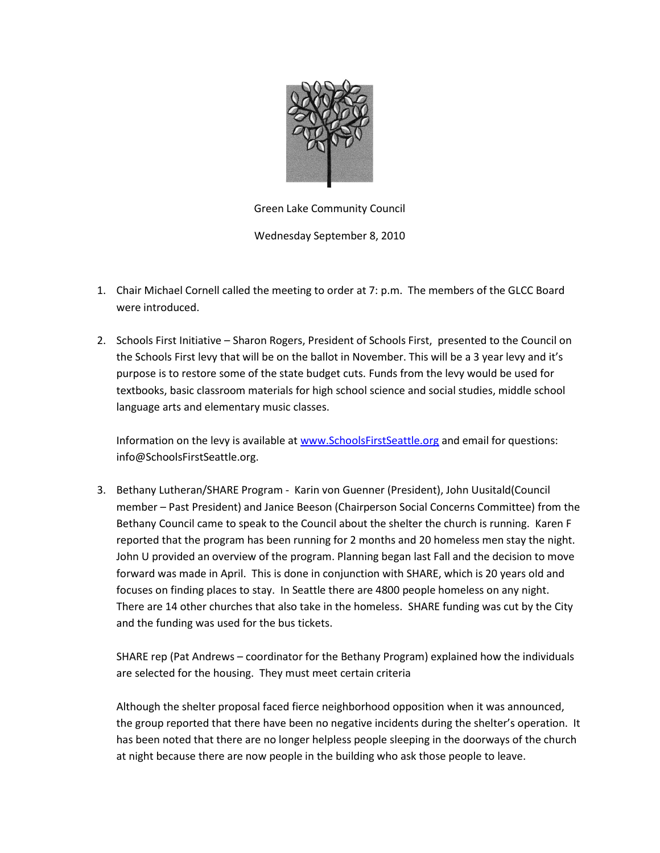

Green Lake Community Council

Wednesday September 8, 2010

- 1. Chair Michael Cornell called the meeting to order at 7: p.m. The members of the GLCC Board were introduced.
- 2. Schools First Initiative Sharon Rogers, President of Schools First, presented to the Council on the Schools First levy that will be on the ballot in November. This will be a 3 year levy and it's purpose is to restore some of the state budget cuts. Funds from the levy would be used for textbooks, basic classroom materials for high school science and social studies, middle school language arts and elementary music classes.

Information on the levy is available a[t www.SchoolsFirstSeattle.org](http://www.schoolsfirstseattle.org/) and email for questions: info@SchoolsFirstSeattle.org.

3. Bethany Lutheran/SHARE Program - Karin von Guenner (President), John Uusitald(Council member – Past President) and Janice Beeson (Chairperson Social Concerns Committee) from the Bethany Council came to speak to the Council about the shelter the church is running. Karen F reported that the program has been running for 2 months and 20 homeless men stay the night. John U provided an overview of the program. Planning began last Fall and the decision to move forward was made in April. This is done in conjunction with SHARE, which is 20 years old and focuses on finding places to stay. In Seattle there are 4800 people homeless on any night. There are 14 other churches that also take in the homeless. SHARE funding was cut by the City and the funding was used for the bus tickets.

SHARE rep (Pat Andrews – coordinator for the Bethany Program) explained how the individuals are selected for the housing. They must meet certain criteria

Although the shelter proposal faced fierce neighborhood opposition when it was announced, the group reported that there have been no negative incidents during the shelter's operation. It has been noted that there are no longer helpless people sleeping in the doorways of the church at night because there are now people in the building who ask those people to leave.